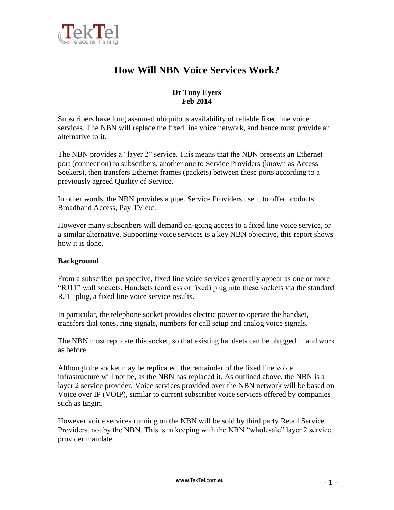

# **How Will NBN Voice Services Work?**

# **Dr Tony Eyers Feb 2014**

Subscribers have long assumed ubiquitous availability of reliable fixed line voice services. The NBN will replace the fixed line voice network, and hence must provide an alternative to it.

The NBN provides a "layer 2" service. This means that the NBN presents an Ethernet port (connection) to subscribers, another one to Service Providers (known as Access Seekers), then transfers Ethernet frames (packets) between these ports according to a previously agreed Quality of Service.

In other words, the NBN provides a pipe. Service Providers use it to offer products: Broadband Access, Pay TV etc.

However many subscribers will demand on-going access to a fixed line voice service, or a similar alternative. Supporting voice services is a key NBN objective, this report shows how it is done.

## **Background**

From a subscriber perspective, fixed line voice services generally appear as one or more "RJ11" wall sockets. Handsets (cordless or fixed) plug into these sockets via the standard RJ11 plug, a fixed line voice service results.

In particular, the telephone socket provides electric power to operate the handset, transfers dial tones, ring signals, numbers for call setup and analog voice signals.

The NBN must replicate this socket, so that existing handsets can be plugged in and work as before.

Although the socket may be replicated, the remainder of the fixed line voice infrastructure will not be, as the NBN has replaced it. As outlined above, the NBN is a layer 2 service provider. Voice services provided over the NBN network will be based on Voice over IP (VOIP), similar to current subscriber voice services offered by companies such as Engin.

However voice services running on the NBN will be sold by third party Retail Service Providers, not by the NBN. This is in keeping with the NBN "wholesale" layer 2 service provider mandate.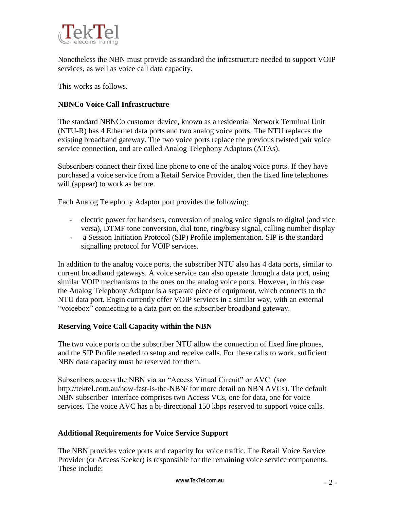

Nonetheless the NBN must provide as standard the infrastructure needed to support VOIP services, as well as voice call data capacity.

This works as follows.

### **NBNCo Voice Call Infrastructure**

The standard NBNCo customer device, known as a residential Network Terminal Unit (NTU-R) has 4 Ethernet data ports and two analog voice ports. The NTU replaces the existing broadband gateway. The two voice ports replace the previous twisted pair voice service connection, and are called Analog Telephony Adaptors (ATAs).

Subscribers connect their fixed line phone to one of the analog voice ports. If they have purchased a voice service from a Retail Service Provider, then the fixed line telephones will (appear) to work as before.

Each Analog Telephony Adaptor port provides the following:

- electric power for handsets, conversion of analog voice signals to digital (and vice versa), DTMF tone conversion, dial tone, ring/busy signal, calling number display
- a Session Initiation Protocol (SIP) Profile implementation. SIP is the standard signalling protocol for VOIP services.

In addition to the analog voice ports, the subscriber NTU also has 4 data ports, similar to current broadband gateways. A voice service can also operate through a data port, using similar VOIP mechanisms to the ones on the analog voice ports. However, in this case the Analog Telephony Adaptor is a separate piece of equipment, which connects to the NTU data port. Engin currently offer VOIP services in a similar way, with an external "voicebox" connecting to a data port on the subscriber broadband gateway.

#### **Reserving Voice Call Capacity within the NBN**

The two voice ports on the subscriber NTU allow the connection of fixed line phones, and the SIP Profile needed to setup and receive calls. For these calls to work, sufficient NBN data capacity must be reserved for them.

Subscribers access the NBN via an "Access Virtual Circuit" or AVC (see http://tektel.com.au/how-fast-is-the-NBN/ for more detail on NBN AVCs). The default NBN subscriber interface comprises two Access VCs, one for data, one for voice services. The voice AVC has a bi-directional 150 kbps reserved to support voice calls.

#### **Additional Requirements for Voice Service Support**

The NBN provides voice ports and capacity for voice traffic. The Retail Voice Service Provider (or Access Seeker) is responsible for the remaining voice service components. These include: